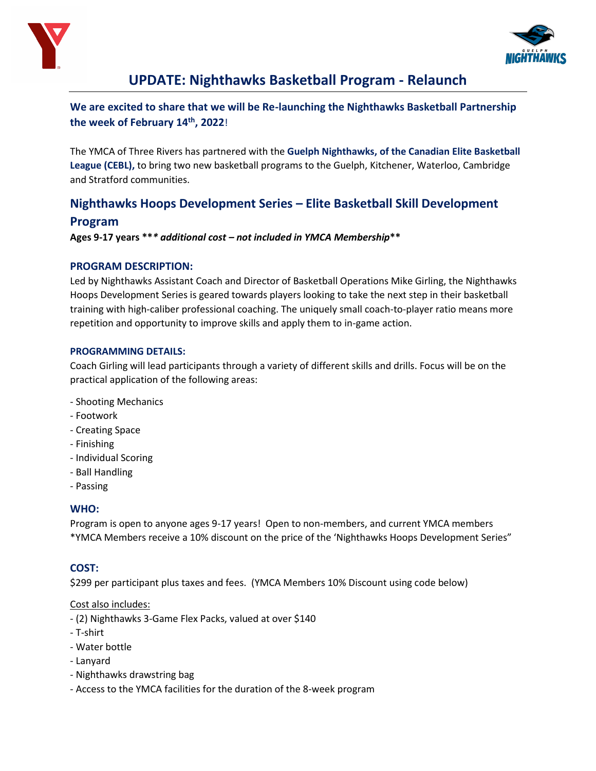



# **UPDATE: Nighthawks Basketball Program - Relaunch**

**We are excited to share that we will be Re-launching the Nighthawks Basketball Partnership the week of February 14th, 2022**!

The YMCA of Three Rivers has partnered with the **Guelph Nighthawks, of the Canadian Elite Basketball League (CEBL),** to bring two new basketball programs to the Guelph, Kitchener, Waterloo, Cambridge and Stratford communities.

# **Nighthawks Hoops Development Series – Elite Basketball Skill Development Program**

**Ages 9-17 years \*\****\* additional cost – not included in YMCA Membership***\*\***

### **PROGRAM DESCRIPTION:**

Led by Nighthawks Assistant Coach and Director of Basketball Operations Mike Girling, the Nighthawks Hoops Development Series is geared towards players looking to take the next step in their basketball training with high-caliber professional coaching. The uniquely small coach-to-player ratio means more repetition and opportunity to improve skills and apply them to in-game action.

#### **PROGRAMMING DETAILS:**

Coach Girling will lead participants through a variety of different skills and drills. Focus will be on the practical application of the following areas:

- Shooting Mechanics
- Footwork
- Creating Space
- Finishing
- Individual Scoring
- Ball Handling
- Passing

## **WHO:**

Program is open to anyone ages 9-17 years! Open to non-members, and current YMCA members \*YMCA Members receive a 10% discount on the price of the 'Nighthawks Hoops Development Series"

## **COST:**

\$299 per participant plus taxes and fees. (YMCA Members 10% Discount using code below)

## Cost also includes:

- (2) Nighthawks 3-Game Flex Packs, valued at over \$140
- T-shirt
- Water bottle
- Lanyard
- Nighthawks drawstring bag
- Access to the YMCA facilities for the duration of the 8-week program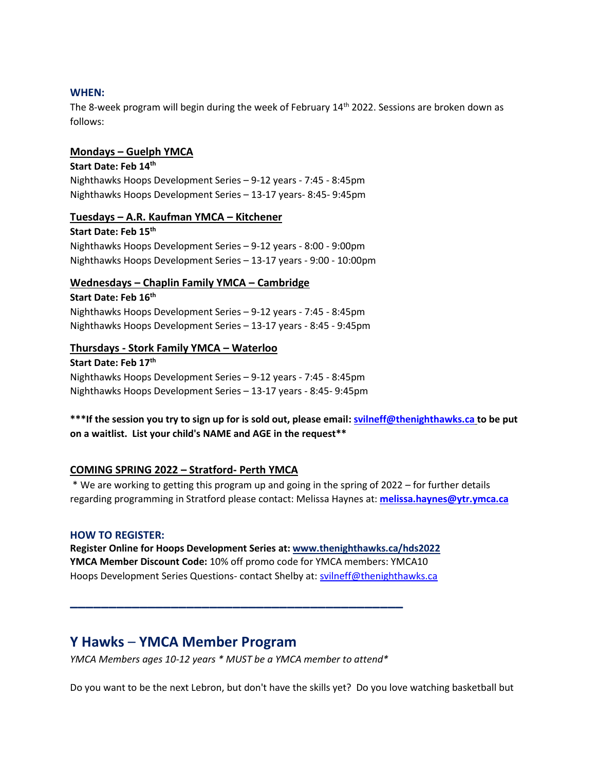#### **WHEN:**

The 8-week program will begin during the week of February  $14<sup>th</sup>$  2022. Sessions are broken down as follows:

#### **Mondays – Guelph YMCA**

## **Start Date: Feb 14th** Nighthawks Hoops Development Series – 9-12 years - 7:45 - 8:45pm Nighthawks Hoops Development Series – 13-17 years- 8:45- 9:45pm

#### **Tuesdays – A.R. Kaufman YMCA – Kitchener**

**Start Date: Feb 15th** Nighthawks Hoops Development Series – 9-12 years - 8:00 - 9:00pm Nighthawks Hoops Development Series – 13-17 years - 9:00 - 10:00pm

#### **Wednesdays – Chaplin Family YMCA – Cambridge**

**Start Date: Feb 16th** Nighthawks Hoops Development Series – 9-12 years - 7:45 - 8:45pm Nighthawks Hoops Development Series – 13-17 years - 8:45 - 9:45pm

## **Thursdays - Stork Family YMCA – Waterloo**

**Start Date: Feb 17th** Nighthawks Hoops Development Series – 9-12 years - 7:45 - 8:45pm Nighthawks Hoops Development Series – 13-17 years - 8:45- 9:45pm

## **\*\*\*If the session you try to sign up for is sold out, please email: [svilneff@thenighthawks.ca](mailto:svilneff@thenighthawks.ca) to be put on a waitlist. List your child's NAME and AGE in the request\*\***

#### **COMING SPRING 2022 – Stratford- Perth YMCA**

\* We are working to getting this program up and going in the spring of 2022 – for further details regarding programming in Stratford please contact: Melissa Haynes at: **[melissa.haynes@ytr.ymca.ca](mailto:melissa.haynes@ytr.ymca.ca)**

#### **HOW TO REGISTER:**

**Register Online for Hoops Development Series at: [www.thenighthawks.ca/hds2022](https://www.thenighthawks.ca/hds2022) YMCA Member Discount Code:** 10% off promo code for YMCA members: YMCA10 Hoops Development Series Questions- contact Shelby at: [svilneff@thenighthawks.ca](mailto:svilneff@thenighthawks.ca)

## **Y Hawks** – **YMCA Member Program**

*YMCA Members ages 10-12 years \* MUST be a YMCA member to attend\**

**\_\_\_\_\_\_\_\_\_\_\_\_\_\_\_\_\_\_\_\_\_\_\_\_\_\_\_\_\_\_\_\_\_\_\_\_\_\_\_\_\_\_\_**

Do you want to be the next Lebron, but don't have the skills yet? Do you love watching basketball but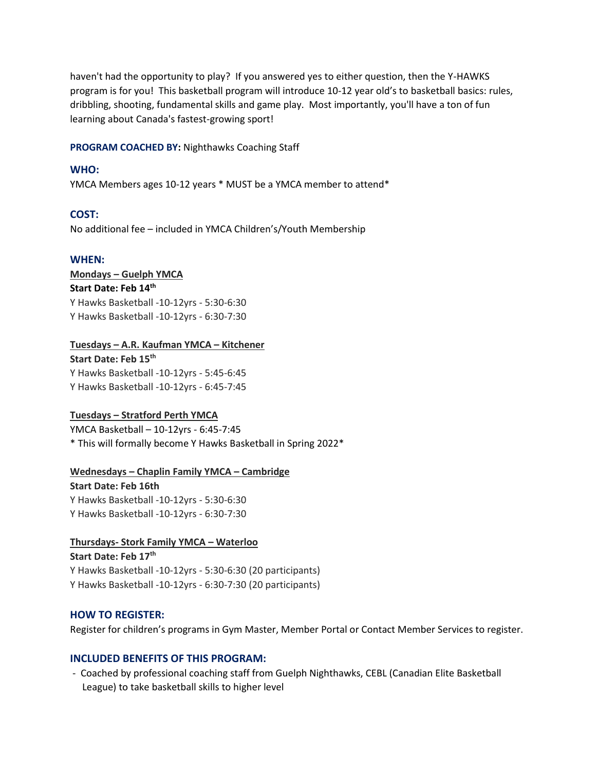haven't had the opportunity to play? If you answered yes to either question, then the Y-HAWKS program is for you! This basketball program will introduce 10-12 year old's to basketball basics: rules, dribbling, shooting, fundamental skills and game play. Most importantly, you'll have a ton of fun learning about Canada's fastest-growing sport!

**PROGRAM COACHED BY:** Nighthawks Coaching Staff

#### **WHO:**

YMCA Members ages 10-12 years \* MUST be a YMCA member to attend\*

#### **COST:**

No additional fee – included in YMCA Children's/Youth Membership

#### **WHEN:**

#### **Mondays – Guelph YMCA**

**Start Date: Feb 14th**

Y Hawks Basketball -10-12yrs - 5:30-6:30 Y Hawks Basketball -10-12yrs - 6:30-7:30

#### **Tuesdays – A.R. Kaufman YMCA – Kitchener**

**Start Date: Feb 15th** Y Hawks Basketball -10-12yrs - 5:45-6:45 Y Hawks Basketball -10-12yrs - 6:45-7:45

#### **Tuesdays – Stratford Perth YMCA**

YMCA Basketball – 10-12yrs - 6:45-7:45 \* This will formally become Y Hawks Basketball in Spring 2022\*

**Wednesdays – Chaplin Family YMCA – Cambridge Start Date: Feb 16th** Y Hawks Basketball -10-12yrs - 5:30-6:30 Y Hawks Basketball -10-12yrs - 6:30-7:30

#### **Thursdays- Stork Family YMCA – Waterloo**

**Start Date: Feb 17th** Y Hawks Basketball -10-12yrs - 5:30-6:30 (20 participants) Y Hawks Basketball -10-12yrs - 6:30-7:30 (20 participants)

#### **HOW TO REGISTER:**

Register for children's programs in Gym Master, Member Portal or Contact Member Services to register.

### **INCLUDED BENEFITS OF THIS PROGRAM:**

- Coached by professional coaching staff from Guelph Nighthawks, CEBL (Canadian Elite Basketball League) to take basketball skills to higher level